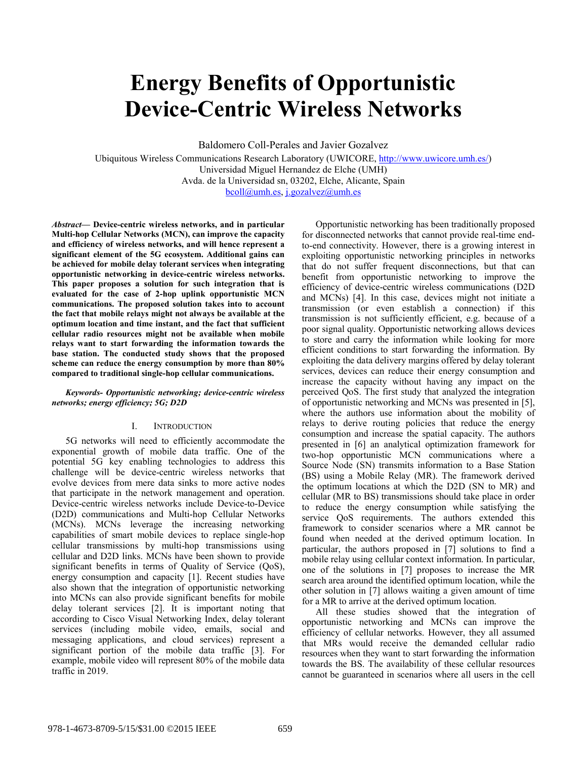# **Energy Benefits of Opportunistic Device-Centric Wireless Networks**

Baldomero Coll-Perales and Javier Gozalvez

Ubiquitous Wireless Communications Research Laboratory (UWICORE, http://www.uwicore.umh.es/) Universidad Miguel Hernandez de Elche (UMH) Avda. de la Universidad sn, 03202, Elche, Alicante, Spain bcoll@umh.es, j.gozalvez@umh.es

*Abstract***— Device-centric wireless networks, and in particular Multi-hop Cellular Networks (MCN), can improve the capacity and efficiency of wireless networks, and will hence represent a significant element of the 5G ecosystem. Additional gains can be achieved for mobile delay tolerant services when integrating opportunistic networking in device-centric wireless networks. This paper proposes a solution for such integration that is evaluated for the case of 2-hop uplink opportunistic MCN communications. The proposed solution takes into to account the fact that mobile relays might not always be available at the optimum location and time instant, and the fact that sufficient cellular radio resources might not be available when mobile relays want to start forwarding the information towards the base station. The conducted study shows that the proposed scheme can reduce the energy consumption by more than 80% compared to traditional single-hop cellular communications.** 

# *Keywords- Opportunistic networking; device-centric wireless networks; energy efficiency; 5G; D2D*

## I. INTRODUCTION

5G networks will need to efficiently accommodate the exponential growth of mobile data traffic. One of the potential 5G key enabling technologies to address this challenge will be device-centric wireless networks that evolve devices from mere data sinks to more active nodes that participate in the network management and operation. Device-centric wireless networks include Device-to-Device (D2D) communications and Multi-hop Cellular Networks (MCNs). MCNs leverage the increasing networking capabilities of smart mobile devices to replace single-hop cellular transmissions by multi-hop transmissions using cellular and D2D links. MCNs have been shown to provide significant benefits in terms of Quality of Service (QoS), energy consumption and capacity [1]. Recent studies have also shown that the integration of opportunistic networking into MCNs can also provide significant benefits for mobile delay tolerant services [2]. It is important noting that according to Cisco Visual Networking Index, delay tolerant services (including mobile video, emails, social and messaging applications, and cloud services) represent a significant portion of the mobile data traffic [3]. For example, mobile video will represent 80% of the mobile data traffic in 2019.

Opportunistic networking has been traditionally proposed for disconnected networks that cannot provide real-time endto-end connectivity. However, there is a growing interest in exploiting opportunistic networking principles in networks that do not suffer frequent disconnections, but that can benefit from opportunistic networking to improve the efficiency of device-centric wireless communications (D2D and MCNs) [4]. In this case, devices might not initiate a transmission (or even establish a connection) if this transmission is not sufficiently efficient, e.g. because of a poor signal quality. Opportunistic networking allows devices to store and carry the information while looking for more efficient conditions to start forwarding the information. By exploiting the data delivery margins offered by delay tolerant services, devices can reduce their energy consumption and increase the capacity without having any impact on the perceived QoS. The first study that analyzed the integration of opportunistic networking and MCNs was presented in [5], where the authors use information about the mobility of relays to derive routing policies that reduce the energy consumption and increase the spatial capacity. The authors presented in [6] an analytical optimization framework for two-hop opportunistic MCN communications where a Source Node (SN) transmits information to a Base Station (BS) using a Mobile Relay (MR). The framework derived the optimum locations at which the D2D (SN to MR) and cellular (MR to BS) transmissions should take place in order to reduce the energy consumption while satisfying the service QoS requirements. The authors extended this framework to consider scenarios where a MR cannot be found when needed at the derived optimum location. In particular, the authors proposed in [7] solutions to find a mobile relay using cellular context information. In particular, one of the solutions in [7] proposes to increase the MR search area around the identified optimum location, while the other solution in [7] allows waiting a given amount of time for a MR to arrive at the derived optimum location.

All these studies showed that the integration of opportunistic networking and MCNs can improve the efficiency of cellular networks. However, they all assumed that MRs would receive the demanded cellular radio resources when they want to start forwarding the information towards the BS. The availability of these cellular resources cannot be guaranteed in scenarios where all users in the cell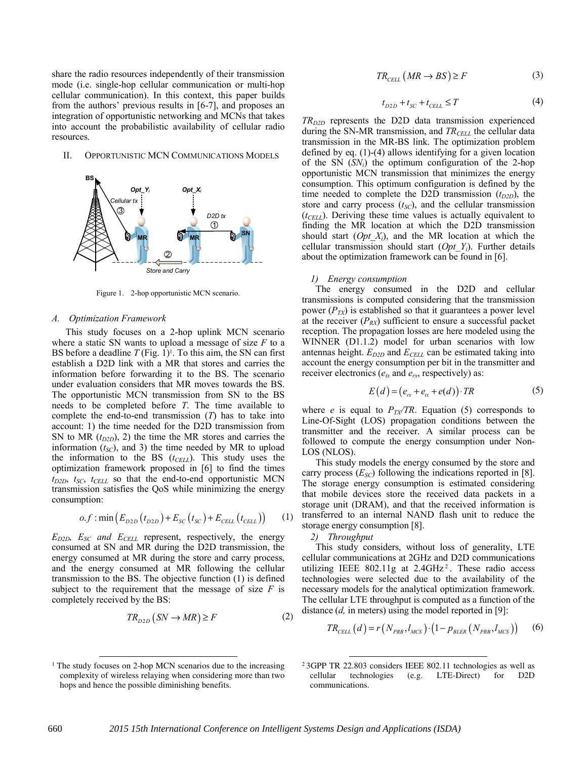share the radio resources independently of their transmission mode (i.e. single-hop cellular communication or multi-hop cellular communication). In this context, this paper builds from the authors' previous results in [6-7], and proposes an integration of opportunistic networking and MCNs that takes into account the probabilistic availability of cellular radio resources.

II. OPPORTUNISTIC MCN COMMUNICATIONS MODELS



Figure 1. 2-hop opportunistic MCN scenario.

#### *A. Optimization Framework*

This study focuses on a 2-hop uplink MCN scenario where a static SN wants to upload a message of size *F* to a BS before a deadline  $T$  (Fig. 1)<sup>1</sup>. To this aim, the SN can first establish a D2D link with a MR that stores and carries the information before forwarding it to the BS. The scenario under evaluation considers that MR moves towards the BS. The opportunistic MCN transmission from SN to the BS needs to be completed before *T*. The time available to complete the end-to-end transmission (*T*) has to take into account: 1) the time needed for the D2D transmission from SN to MR  $(t_{D2D})$ , 2) the time the MR stores and carries the information  $(t_{SC})$ , and 3) the time needed by MR to upload the information to the BS  $(t_{CELL})$ . This study uses the optimization framework proposed in [6] to find the times  $t_{D2D}$ ,  $t_{SC}$ ,  $t_{CELL}$  so that the end-to-end opportunistic MCN transmission satisfies the QoS while minimizing the energy consumption:

$$
o.f : \min(E_{D2D}(t_{D2D}) + E_{SC}(t_{SC}) + E_{CELL}(t_{CELL})) \tag{1}
$$

 $E_{D2D}$ ,  $E_{SC}$  and  $E_{CELL}$  represent, respectively, the energy consumed at SN and MR during the D2D transmission, the energy consumed at MR during the store and carry process, and the energy consumed at MR following the cellular transmission to the BS. The objective function (1) is defined subject to the requirement that the message of size  $F$  is completely received by the BS:

$$
TR_{D2D} (SN \to MR) \ge F \tag{2}
$$

$$
TR_{\text{CELL}} \left( MR \to BS \right) \ge F \tag{3}
$$

$$
t_{D2D} + t_{SC} + t_{CELL} \le T \tag{4}
$$

 $TR_{D2D}$  represents the D2D data transmission experienced during the SN-MR transmission, and *TR<sub>CELL</sub>* the cellular data transmission in the MR-BS link. The optimization problem defined by eq. (1)-(4) allows identifying for a given location of the SN  $(SN_i)$  the optimum configuration of the 2-hop opportunistic MCN transmission that minimizes the energy consumption. This optimum configuration is defined by the time needed to complete the D2D transmission  $(t_{D2D})$ , the store and carry process  $(t_{SC})$ , and the cellular transmission  $(t<sub>CELL</sub>)$ . Deriving these time values is actually equivalent to finding the MR location at which the D2D transmission should start (*Opt\_Xi*), and the MR location at which the cellular transmission should start (*Opt\_Yi*). Further details about the optimization framework can be found in [6].

#### *1) Energy consumption*

The energy consumed in the D2D and cellular transmissions is computed considering that the transmission power  $(P_{TX})$  is established so that it guarantees a power level at the receiver  $(P_{RX})$  sufficient to ensure a successful packet reception. The propagation losses are here modeled using the WINNER (D1.1.2) model for urban scenarios with low antennas height.  $E_{D2D}$  and  $E_{CELL}$  can be estimated taking into account the energy consumption per bit in the transmitter and receiver electronics ( $e<sub>tx</sub>$  and  $e<sub>rx</sub>$ , respectively) as:

$$
E(d) = (erx + etx + e(d)) \cdot TR
$$
 (5)

where *e* is equal to  $P_{TX}/TR$ . Equation (5) corresponds to Line-Of-Sight (LOS) propagation conditions between the transmitter and the receiver. A similar process can be followed to compute the energy consumption under Non-LOS (NLOS).

This study models the energy consumed by the store and carry process  $(E_{SC})$  following the indications reported in [8]. The storage energy consumption is estimated considering that mobile devices store the received data packets in a storage unit (DRAM), and that the received information is transferred to an internal NAND flash unit to reduce the storage energy consumption [8].

*2) Throughput* 

l

This study considers, without loss of generality, LTE cellular communications at 2GHz and D2D communications utilizing IEEE  $802.11g$  at  $2.4GHz<sup>2</sup>$ . These radio access technologies were selected due to the availability of the necessary models for the analytical optimization framework. The cellular LTE throughput is computed as a function of the distance (*d,* in meters) using the model reported in [9]:

$$
TR_{CELL}(d) = r(N_{PRB}, l_{MCS}) \cdot (1 - p_{BLER}(N_{PRB}, l_{MCS})) \quad (6)
$$

-

 $1$  The study focuses on 2-hop MCN scenarios due to the increasing complexity of wireless relaying when considering more than two hops and hence the possible diminishing benefits.

<sup>2</sup> 3GPP TR 22.803 considers IEEE 802.11 technologies as well as cellular technologies (e.g. LTE-Direct) for D2D communications.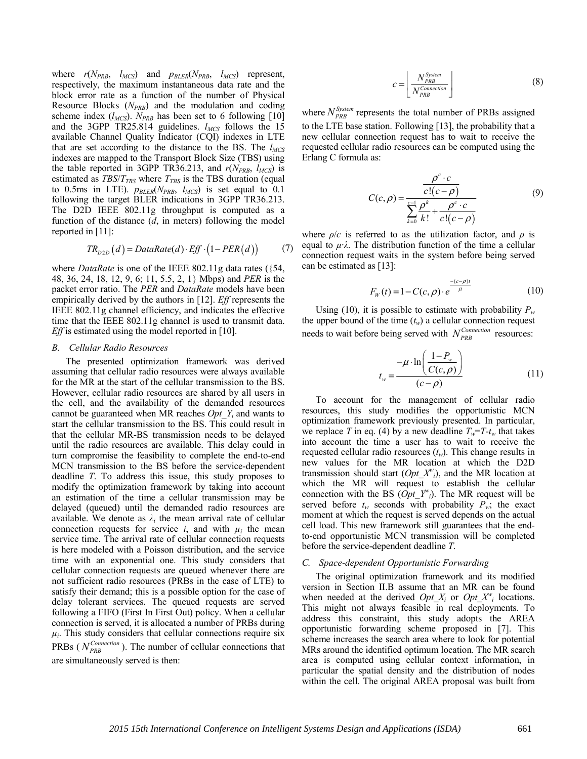where  $r(N_{PRB}, l_{MCS})$  and  $p_{BLER}(N_{PRB}, l_{MCS})$  represent, respectively, the maximum instantaneous data rate and the block error rate as a function of the number of Physical Resource Blocks (*NPRB*) and the modulation and coding scheme index  $(l_{MCS})$ .  $N_{PRB}$  has been set to 6 following [10] and the 3GPP TR25.814 guidelines. *l<sub>MCS</sub>* follows the 15 available Channel Quality Indicator (CQI) indexes in LTE that are set according to the distance to the BS. The  $l_{MCS}$ indexes are mapped to the Transport Block Size (TBS) using the table reported in 3GPP TR36.213, and  $r(N_{PRB}, l_{MCS})$  is estimated as  $TBS/T_{TBS}$  where  $T_{TBS}$  is the TBS duration (equal to 0.5ms in LTE).  $p_{BLER}(N_{PRB}, l_{MCS})$  is set equal to 0.1 following the target BLER indications in 3GPP TR36.213. The D2D IEEE 802.11g throughput is computed as a function of the distance (*d*, in meters) following the model reported in [11]:

$$
TR_{D2D}(d) = DataRate(d) \cdot Eff \cdot (1 - PER(d)) \tag{7}
$$

where *DataRate* is one of the IEEE 802.11g data rates ({54, 48, 36, 24, 18, 12, 9, 6; 11, 5.5, 2, 1} Mbps) and *PER* is the packet error ratio. The *PER* and *DataRate* models have been empirically derived by the authors in [12]. *Eff* represents the IEEE 802.11g channel efficiency, and indicates the effective time that the IEEE 802.11g channel is used to transmit data. *Eff* is estimated using the model reported in [10].

## *B. Cellular Radio Resources*

The presented optimization framework was derived assuming that cellular radio resources were always available for the MR at the start of the cellular transmission to the BS. However, cellular radio resources are shared by all users in the cell, and the availability of the demanded resources cannot be guaranteed when MR reaches *Opt\_Yi* and wants to start the cellular transmission to the BS. This could result in that the cellular MR-BS transmission needs to be delayed until the radio resources are available. This delay could in turn compromise the feasibility to complete the end-to-end MCN transmission to the BS before the service-dependent deadline *T*. To address this issue, this study proposes to modify the optimization framework by taking into account an estimation of the time a cellular transmission may be delayed (queued) until the demanded radio resources are available. We denote as  $\lambda_i$  the mean arrival rate of cellular connection requests for service *i*, and with  $\mu_i$  the mean service time. The arrival rate of cellular connection requests is here modeled with a Poisson distribution, and the service time with an exponential one. This study considers that cellular connection requests are queued whenever there are not sufficient radio resources (PRBs in the case of LTE) to satisfy their demand; this is a possible option for the case of delay tolerant services. The queued requests are served following a FIFO (First In First Out) policy. When a cellular connection is served, it is allocated a number of PRBs during  $\mu_i$ . This study considers that cellular connections require six PRBs ( $N_{PRB}^{Connection}$ ). The number of cellular connections that are simultaneously served is then:

$$
c = \left\lfloor \frac{N_{PRB}^{System}}{N_{PRB}^{Consection}} \right\rfloor \tag{8}
$$

where  $N_{PRB}^{System}$  represents the total number of PRBs assigned to the LTE base station. Following [13], the probability that a new cellular connection request has to wait to receive the requested cellular radio resources can be computed using the Erlang C formula as:

$$
C(c,\rho) = \frac{\frac{\rho^c \cdot c}{c!(c-\rho)}}{\sum_{k=0}^{c-1} \frac{\rho^k}{k!} + \frac{\rho^c \cdot c}{c!(c-\rho)}}
$$
(9)

where  $\rho/c$  is referred to as the utilization factor, and  $\rho$  is equal to  $\mu \lambda$ . The distribution function of the time a cellular connection request waits in the system before being served can be estimated as [13]:

$$
F_{w}(t) = 1 - C(c, \rho) \cdot e^{-\frac{-(c-\rho)t}{\mu}}
$$
\n(10)

Using (10), it is possible to estimate with probability  $P_w$ the upper bound of the time  $(t_w)$  a cellular connection request needs to wait before being served with  $N_{PRB}^{Connection}$  resources:

$$
t_w = \frac{-\mu \cdot \ln\left(\frac{1 - P_w}{C(c, \rho)}\right)}{(c - \rho)}
$$
(11)

To account for the management of cellular radio resources, this study modifies the opportunistic MCN optimization framework previously presented. In particular, we replace *T* in eq. (4) by a new deadline  $T_w = T - t_w$  that takes into account the time a user has to wait to receive the requested cellular radio resources (*tw*). This change results in new values for the MR location at which the D2D transmission should start  $(Opt_X^w)$ , and the MR location at which the MR will request to establish the cellular connection with the BS  $(\hat{Opt}^r Y^w_i)$ . The MR request will be served before  $t_w$  seconds with probability  $P_w$ ; the exact moment at which the request is served depends on the actual cell load. This new framework still guarantees that the endto-end opportunistic MCN transmission will be completed before the service-dependent deadline *T*.

#### *C. Space-dependent Opportunistic Forwarding*

The original optimization framework and its modified version in Section II.B assume that an MR can be found when needed at the derived  $Opt\_X_i$  or  $Opt\_X_i^w$  locations. This might not always feasible in real deployments. To address this constraint, this study adopts the AREA opportunistic forwarding scheme proposed in [7]. This scheme increases the search area where to look for potential MRs around the identified optimum location. The MR search area is computed using cellular context information, in particular the spatial density and the distribution of nodes within the cell. The original AREA proposal was built from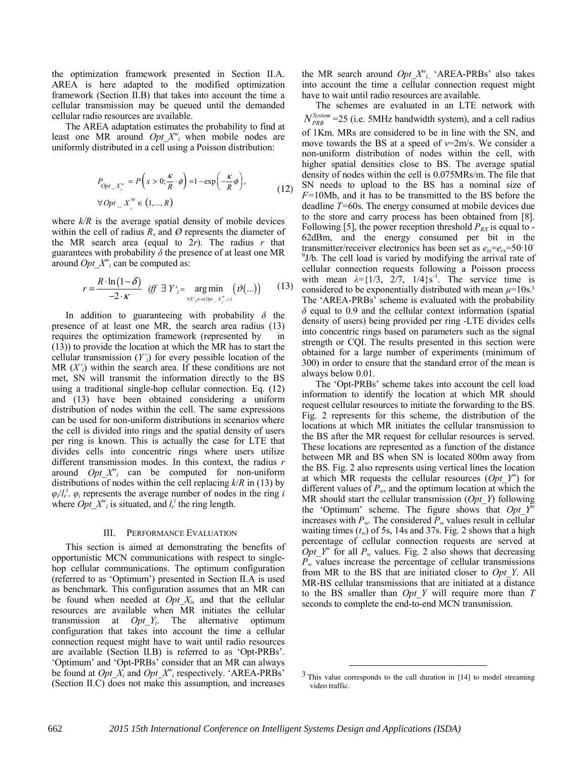the optimization framework presented in Section II.A. AREA is here adapted to the modified optimization framework (Section II.B) that takes into account the time a cellular transmission may be queued until the demanded cellular radio resources are available.

The AREA adaptation estimates the probability to find at least one MR around  $Opt\_X^w_i$  when mobile nodes are uniformly distributed in a cell using a Poisson distribution:

$$
P_{Opt\_X_i^w} = P\left(x > 0; \frac{\kappa}{R} \cdot \phi\right) = 1 - \exp\left(-\frac{\kappa}{R} \phi\right),
$$
  

$$
\forall Opt\_X_i^w \in (1, ..., R)
$$
 (12)

where  $k/R$  is the average spatial density of mobile devices within the cell of radius  $R$ , and  $\varnothing$  represents the diameter of the MR search area (equal to  $2r$ ). The radius  $r$  that guarantees with probability  $\delta$  the presence of at least one MR around  $Opt\_X^w_i$  can be computed as:

$$
r = \frac{R \cdot \ln(1-\delta)}{-2 \cdot \kappa} \quad \text{iff} \quad \exists \ Y \big|_{i} = \underset{\forall X' \neq \sigma(Opt_{-} X''_{i}, r)}{\arg \min} \left( \vartheta(\ldots) \right) \tag{13}
$$

In addition to guaranteeing with probability *δ* the presence of at least one MR, the search area radius (13) requires the optimization framework (represented by in (13)) to provide the location at which the MR has to start the cellular transmission (*Y'i*) for every possible location of the MR  $(X<sub>i</sub>)$  within the search area. If these conditions are not met, SN will transmit the information directly to the BS using a traditional single-hop cellular connection. Eq. (12) and (13) have been obtained considering a uniform distribution of nodes within the cell. The same expressions can be used for non-uniform distributions in scenarios where the cell is divided into rings and the spatial density of users per ring is known. This is actually the case for LTE that divides cells into concentric rings where users utilize different transmission modes. In this context, the radius *r* around  $Opt\_X^{\nu_i}$  can be computed for non-uniform distributions of nodes within the cell replacing *k*/*R* in (13) by  $\varphi_i/l_r^i$ .  $\varphi_i$  represents the average number of nodes in the ring *i* where  $Opt\_X^w_i$  is situated, and  $l_r^i$  the ring length.

#### III. PERFORMANCE EVALUATION

This section is aimed at demonstrating the benefits of opportunistic MCN communications with respect to singlehop cellular communications. The optimum configuration (referred to as 'Optimum') presented in Section II.A is used as benchmark. This configuration assumes that an MR can be found when needed at *Opt\_Xi*, and that the cellular resources are available when MR initiates the cellular transmission at *Opt\_Yi*. The alternative optimum configuration that takes into account the time a cellular connection request might have to wait until radio resources are available (Section II.B) is referred to as 'Opt-PRBs'. 'Optimum' and 'Opt-PRBs' consider that an MR can always be found at  $Opt\_X_i$  and  $Opt\_X_i^w$  respectively. 'AREA-PRBs' (Section II.C) does not make this assumption, and increases

the MR search around *Opt\_Xw i.*. 'AREA-PRBs' also takes into account the time a cellular connection request might have to wait until radio resources are available.

The schemes are evaluated in an LTE network with  $N_{PRB}^{System}$  =25 (i.e. 5MHz bandwidth system), and a cell radius of 1Km. MRs are considered to be in line with the SN, and move towards the BS at a speed of *v*=2m/s. We consider a non-uniform distribution of nodes within the cell, with higher spatial densities close to BS. The average spatial density of nodes within the cell is 0.075MRs/m. The file that SN needs to upload to the BS has a nominal size of *F=*10Mb, and it has to be transmitted to the BS before the deadline *T=*60s. The energy consumed at mobile devices due to the store and carry process has been obtained from [8]. Following [5], the power reception threshold  $P_{RX}$  is equal to -62dBm, and the energy consumed per bit in the transmitter/receiver electronics has been set as  $e<sub>tx</sub>=e<sub>rx</sub>=50.10$ <sup>9</sup>J/b. The cell load is varied by modifying the arrival rate of cellular connection requests following a Poisson process with mean  $\lambda = \{1/3, 2/7, 1/4\}$ s<sup>-1</sup>. The service time is considered to be exponentially distributed with mean  $\mu$ =10s.<sup>3</sup> The 'AREA-PRBs' scheme is evaluated with the probability *δ* equal to 0.9 and the cellular context information (spatial density of users) being provided per ring -LTE divides cells into concentric rings based on parameters such as the signal strength or CQI. The results presented in this section were obtained for a large number of experiments (minimum of 300) in order to ensure that the standard error of the mean is always below 0.01.

The 'Opt-PRBs' scheme takes into account the cell load information to identify the location at which MR should request cellular resources to initiate the forwarding to the BS. Fig. 2 represents for this scheme, the distribution of the locations at which MR initiates the cellular transmission to the BS after the MR request for cellular resources is served. These locations are represented as a function of the distance between MR and BS when SN is located 800m away from the BS. Fig. 2 also represents using vertical lines the location at which MR requests the cellular resources  $(Opt Y^w)$  for different values of  $P_w$ , and the optimum location at which the MR should start the cellular transmission (*Opt\_Y*) following the 'Optimum' scheme. The figure shows that *Opt\_Yw* increases with  $P_w$ . The considered  $P_w$  values result in cellular waiting times  $(t_w)$  of 5s, 14s and 37s. Fig. 2 shows that a high percentage of cellular connection requests are served at  $Opt_Y^w$  for all  $P_w$  values. Fig. 2 also shows that decreasing  $P_w$  values increase the percentage of cellular transmissions from MR to the BS that are initiated closer to *Opt\_Y*. All MR-BS cellular transmissions that are initiated at a distance to the BS smaller than *Opt\_Y* will require more than *T*  seconds to complete the end-to-end MCN transmission.

l

 $<sup>3</sup>$  This value corresponds to the call duration in [14] to model streaming</sup> video traffic.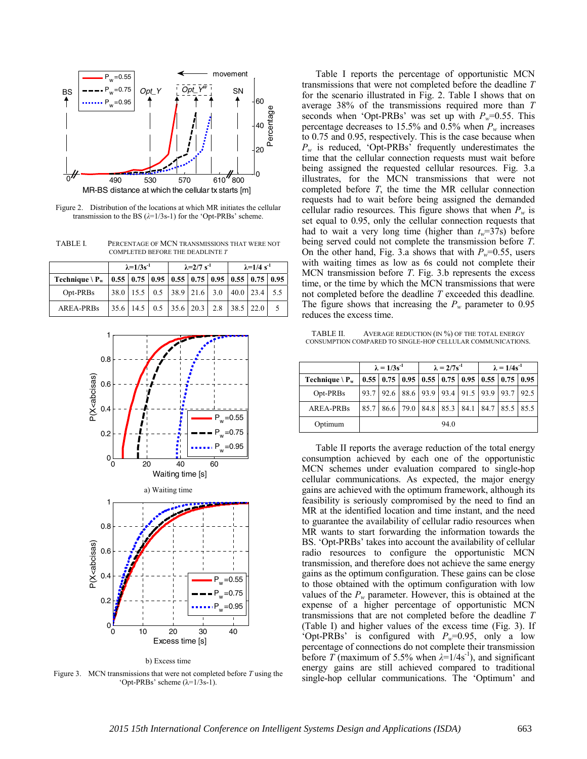

Figure 2. Distribution of the locations at which MR initiates the cellular transmission to the BS (*λ*=1/3s-1) for the 'Opt-PRBs' scheme.

TABLE I. PERCENTAGE OF MCN TRANSMISSIONS THAT WERE NOT COMPLETED BEFORE THE DEADLINTE *T*

|                                                                                  | $\lambda = 1/3s^{-1}$ |  |  | $\lambda = 2/7$ s <sup>-1</sup> |  |  | $\lambda = 1/4$ s <sup>-1</sup> |                                                             |  |
|----------------------------------------------------------------------------------|-----------------------|--|--|---------------------------------|--|--|---------------------------------|-------------------------------------------------------------|--|
| Technique \ $P_w$   0.55   0.75   0.95   0.55   0.75   0.95   0.55   0.75   0.95 |                       |  |  |                                 |  |  |                                 |                                                             |  |
| Opt-PRBs                                                                         |                       |  |  |                                 |  |  |                                 | $38.0$   15.5   0.5   38.9   21.6   3.0   40.0   23.4   5.5 |  |
| <b>AREA-PRBs</b>                                                                 |                       |  |  |                                 |  |  |                                 | $ 35.6 14.5 0.5 35.6 20.3 2.8 38.5 22.0 $                   |  |





Figure 3. MCN transmissions that were not completed before *T* using the 'Opt-PRBs' scheme (λ=1/3s-1).

Table I reports the percentage of opportunistic MCN transmissions that were not completed before the deadline *T*  for the scenario illustrated in Fig. 2. Table I shows that on average 38% of the transmissions required more than *T*  seconds when 'Opt-PRBs' was set up with  $P_w=0.55$ . This percentage decreases to 15.5% and 0.5% when  $P_w$  increases to 0.75 and 0.95, respectively. This is the case because when *Pw* is reduced, 'Opt-PRBs' frequently underestimates the time that the cellular connection requests must wait before being assigned the requested cellular resources. Fig. 3.a illustrates, for the MCN transmissions that were not completed before *T*, the time the MR cellular connection requests had to wait before being assigned the demanded cellular radio resources. This figure shows that when  $P_w$  is set equal to 0.95, only the cellular connection requests that had to wait a very long time (higher than  $t_w=37$ s) before being served could not complete the transmission before *T*. On the other hand, Fig. 3.a shows that with  $P_w=0.55$ , users with waiting times as low as 6s could not complete their MCN transmission before *T*. Fig. 3.b represents the excess time, or the time by which the MCN transmissions that were not completed before the deadline *T* exceeded this deadline*.*  The figure shows that increasing the  $P_w$  parameter to 0.95 reduces the excess time.

TABLE II. AVERAGE REDUCTION (IN %) OF THE TOTAL ENERGY CONSUMPTION COMPARED TO SINGLE-HOP CELLULAR COMMUNICATIONS.

|                                 | $\lambda = 1/3s^{-1}$ |  |  | $\lambda = 2/7s^{-1}$ |      |                                                                                                      | $\lambda = 1/4s^{-1}$ |  |  |
|---------------------------------|-----------------------|--|--|-----------------------|------|------------------------------------------------------------------------------------------------------|-----------------------|--|--|
| Technique $\langle P_w \rangle$ |                       |  |  |                       |      | $\vert 0.55 \vert 0.75 \vert 0.95 \vert 0.55 \vert 0.75 \vert 0.95 \vert 0.55 \vert 0.75 \vert 0.95$ |                       |  |  |
| Opt-PRBs                        |                       |  |  |                       |      | 93.7 92.6 88.6 93.9 93.4 91.5 93.9 93.7 92.5                                                         |                       |  |  |
| <b>AREA-PRBs</b>                |                       |  |  |                       |      | 85.7   86.6   79.0   84.8   85.3   84.1   84.7   85.5   85.5                                         |                       |  |  |
| Optimum                         |                       |  |  |                       | 94.0 |                                                                                                      |                       |  |  |

Table II reports the average reduction of the total energy consumption achieved by each one of the opportunistic MCN schemes under evaluation compared to single-hop cellular communications. As expected, the major energy gains are achieved with the optimum framework, although its feasibility is seriously compromised by the need to find an MR at the identified location and time instant, and the need to guarantee the availability of cellular radio resources when MR wants to start forwarding the information towards the BS. 'Opt-PRBs' takes into account the availability of cellular radio resources to configure the opportunistic MCN transmission, and therefore does not achieve the same energy gains as the optimum configuration. These gains can be close to those obtained with the optimum configuration with low values of the  $P_w$  parameter. However, this is obtained at the expense of a higher percentage of opportunistic MCN transmissions that are not completed before the deadline *T* (Table I) and higher values of the excess time (Fig. 3). If 'Opt-PRBs' is configured with  $P_w=0.95$ , only a low percentage of connections do not complete their transmission before *T* (maximum of 5.5% when  $\lambda = 1/4s^{-1}$ ), and significant energy gains are still achieved compared to traditional single-hop cellular communications. The 'Optimum' and